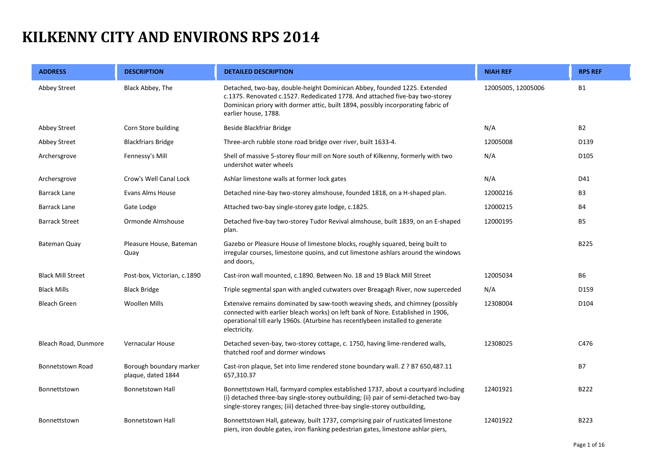## **KILKENNY CITY AND ENVIRONS RPS 2014**

| <b>ADDRESS</b>           | <b>DESCRIPTION</b>                            | <b>DETAILED DESCRIPTION</b>                                                                                                                                                                                                                                          | <b>NIAH REF</b>    | <b>RPS REF</b>   |
|--------------------------|-----------------------------------------------|----------------------------------------------------------------------------------------------------------------------------------------------------------------------------------------------------------------------------------------------------------------------|--------------------|------------------|
| Abbey Street             | Black Abbey, The                              | Detached, two-bay, double-height Dominican Abbey, founded 1225. Extended<br>c.1375. Renovated c.1527. Rededicated 1778. And attached five-bay two-storey<br>Dominican priory with dormer attic, built 1894, possibly incorporating fabric of<br>earlier house, 1788. | 12005005, 12005006 | <b>B1</b>        |
| Abbey Street             | Corn Store building                           | Beside Blackfriar Bridge                                                                                                                                                                                                                                             | N/A                | <b>B2</b>        |
| Abbey Street             | <b>Blackfriars Bridge</b>                     | Three-arch rubble stone road bridge over river, built 1633-4.                                                                                                                                                                                                        | 12005008           | D139             |
| Archersgrove             | Fennessy's Mill                               | Shell of massive 5-storey flour mill on Nore south of Kilkenny, formerly with two<br>undershot water wheels                                                                                                                                                          | N/A                | D <sub>105</sub> |
| Archersgrove             | Crow's Well Canal Lock                        | Ashlar limestone walls at former lock gates                                                                                                                                                                                                                          | N/A                | D41              |
| <b>Barrack Lane</b>      | <b>Evans Alms House</b>                       | Detached nine-bay two-storey almshouse, founded 1818, on a H-shaped plan.                                                                                                                                                                                            | 12000216           | B <sub>3</sub>   |
| <b>Barrack Lane</b>      | Gate Lodge                                    | Attached two-bay single-storey gate lodge, c.1825.                                                                                                                                                                                                                   | 12000215           | <b>B4</b>        |
| <b>Barrack Street</b>    | Ormonde Almshouse                             | Detached five-bay two-storey Tudor Revival almshouse, built 1839, on an E-shaped<br>plan.                                                                                                                                                                            | 12000195           | <b>B5</b>        |
| <b>Bateman Quay</b>      | Pleasure House, Bateman<br>Quay               | Gazebo or Pleasure House of limestone blocks, roughly squared, being built to<br>irregular courses, limestone quoins, and cut limestone ashlars around the windows<br>and doors,                                                                                     |                    | <b>B225</b>      |
| <b>Black Mill Street</b> | Post-box, Victorian, c.1890                   | Cast-iron wall mounted, c.1890. Between No. 18 and 19 Black Mill Street                                                                                                                                                                                              | 12005034           | <b>B6</b>        |
| <b>Black Mills</b>       | <b>Black Bridge</b>                           | Triple segmental span with angled cutwaters over Breagagh River, now superceded                                                                                                                                                                                      | N/A                | D159             |
| <b>Bleach Green</b>      | <b>Woollen Mills</b>                          | Extenxive remains dominated by saw-tooth weaving sheds, and chimney (possibly<br>connected with earlier bleach works) on left bank of Nore. Established in 1906,<br>operational till early 1960s. (Aturbine has recentlybeen installed to generate<br>electricity.   | 12308004           | D104             |
| Bleach Road, Dunmore     | Vernacular House                              | Detached seven-bay, two-storey cottage, c. 1750, having lime-rendered walls,<br>thatched roof and dormer windows                                                                                                                                                     | 12308025           | C476             |
| <b>Bonnetstown Road</b>  | Borough boundary marker<br>plaque, dated 1844 | Cast-iron plaque, Set into lime rendered stone boundary wall. Z ? B7 650,487.11<br>657,310.37                                                                                                                                                                        |                    | <b>B7</b>        |
| Bonnettstown             | <b>Bonnetstown Hall</b>                       | Bonnettstown Hall, farmyard complex established 1737, about a courtyard including<br>(i) detached three-bay single-storey outbuilding; (ii) pair of semi-detached two-bay<br>single-storey ranges; (iii) detached three-bay single-storey outbuilding,               | 12401921           | B222             |
| Bonnettstown             | <b>Bonnetstown Hall</b>                       | Bonnettstown Hall, gateway, built 1737, comprising pair of rusticated limestone<br>piers, iron double gates, iron flanking pedestrian gates, limestone ashlar piers,                                                                                                 | 12401922           | B223             |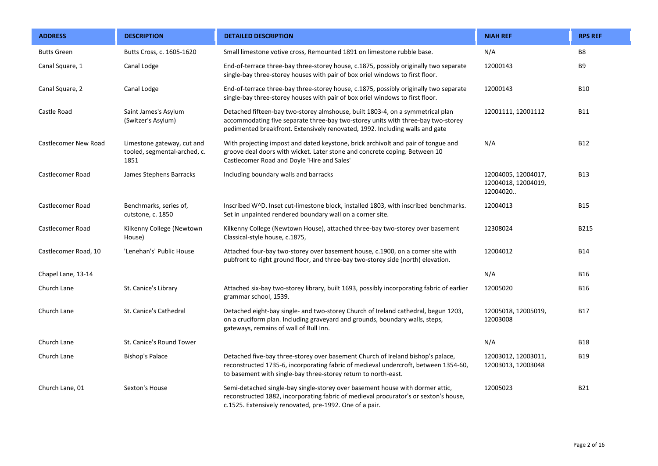| <b>ADDRESS</b>          | <b>DESCRIPTION</b>                                                 | <b>DETAILED DESCRIPTION</b>                                                                                                                                                                                                                        | <b>NIAH REF</b>                                        | <b>RPS REF</b> |
|-------------------------|--------------------------------------------------------------------|----------------------------------------------------------------------------------------------------------------------------------------------------------------------------------------------------------------------------------------------------|--------------------------------------------------------|----------------|
| <b>Butts Green</b>      | Butts Cross, c. 1605-1620                                          | Small limestone votive cross, Remounted 1891 on limestone rubble base.                                                                                                                                                                             | N/A                                                    | B8             |
| Canal Square, 1         | Canal Lodge                                                        | End-of-terrace three-bay three-storey house, c.1875, possibly originally two separate<br>single-bay three-storey houses with pair of box oriel windows to first floor.                                                                             | 12000143                                               | <b>B9</b>      |
| Canal Square, 2         | Canal Lodge                                                        | End-of-terrace three-bay three-storey house, c.1875, possibly originally two separate<br>single-bay three-storey houses with pair of box oriel windows to first floor.                                                                             | 12000143                                               | <b>B10</b>     |
| Castle Road             | Saint James's Asylum<br>(Switzer's Asylum)                         | Detached fifteen-bay two-storey almshouse, built 1803-4, on a symmetrical plan<br>accommodating five separate three-bay two-storey units with three-bay two-storey<br>pedimented breakfront. Extensively renovated, 1992. Including walls and gate | 12001111, 12001112                                     | <b>B11</b>     |
| Castlecomer New Road    | Limestone gateway, cut and<br>tooled, segmental-arched, c.<br>1851 | With projecting impost and dated keystone, brick archivolt and pair of tongue and<br>groove deal doors with wicket. Later stone and concrete coping. Between 10<br>Castlecomer Road and Doyle 'Hire and Sales'                                     | N/A                                                    | <b>B12</b>     |
| Castlecomer Road        | James Stephens Barracks                                            | Including boundary walls and barracks                                                                                                                                                                                                              | 12004005, 12004017,<br>12004018, 12004019,<br>12004020 | <b>B13</b>     |
| Castlecomer Road        | Benchmarks, series of,<br>cutstone, c. 1850                        | Inscribed W^D. Inset cut-limestone block, installed 1803, with inscribed benchmarks.<br>Set in unpainted rendered boundary wall on a corner site.                                                                                                  | 12004013                                               | <b>B15</b>     |
| <b>Castlecomer Road</b> | Kilkenny College (Newtown<br>House)                                | Kilkenny College (Newtown House), attached three-bay two-storey over basement<br>Classical-style house, c.1875,                                                                                                                                    | 12308024                                               | B215           |
| Castlecomer Road, 10    | 'Lenehan's' Public House                                           | Attached four-bay two-storey over basement house, c.1900, on a corner site with<br>pubfront to right ground floor, and three-bay two-storey side (north) elevation.                                                                                | 12004012                                               | <b>B14</b>     |
| Chapel Lane, 13-14      |                                                                    |                                                                                                                                                                                                                                                    | N/A                                                    | <b>B16</b>     |
| Church Lane             | St. Canice's Library                                               | Attached six-bay two-storey library, built 1693, possibly incorporating fabric of earlier<br>grammar school, 1539.                                                                                                                                 | 12005020                                               | <b>B16</b>     |
| Church Lane             | St. Canice's Cathedral                                             | Detached eight-bay single- and two-storey Church of Ireland cathedral, begun 1203,<br>on a cruciform plan. Including graveyard and grounds, boundary walls, steps,<br>gateways, remains of wall of Bull Inn.                                       | 12005018, 12005019,<br>12003008                        | <b>B17</b>     |
| Church Lane             | St. Canice's Round Tower                                           |                                                                                                                                                                                                                                                    | N/A                                                    | <b>B18</b>     |
| Church Lane             | Bishop's Palace                                                    | Detached five-bay three-storey over basement Church of Ireland bishop's palace,<br>reconstructed 1735-6, incorporating fabric of medieval undercroft, between 1354-60,<br>to basement with single-bay three-storey return to north-east.           | 12003012, 12003011,<br>12003013, 12003048              | <b>B19</b>     |
| Church Lane, 01         | Sexton's House                                                     | Semi-detached single-bay single-storey over basement house with dormer attic,<br>reconstructed 1882, incorporating fabric of medieval procurator's or sexton's house,<br>c.1525. Extensively renovated, pre-1992. One of a pair.                   | 12005023                                               | <b>B21</b>     |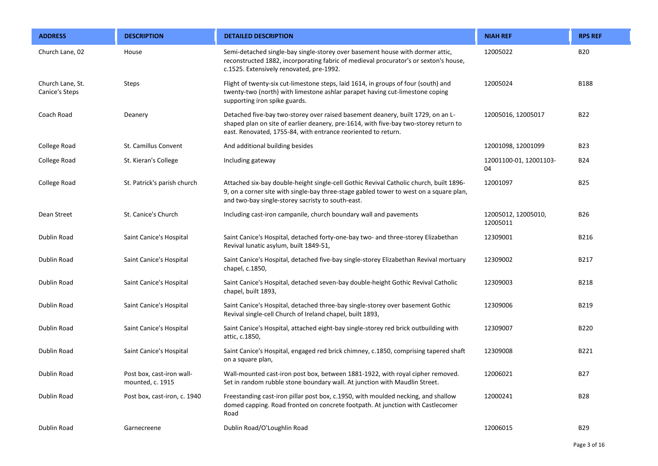| <b>ADDRESS</b>                     | <b>DESCRIPTION</b>                            | <b>DETAILED DESCRIPTION</b>                                                                                                                                                                                                              | <b>NIAH REF</b>                 | <b>RPS REF</b> |
|------------------------------------|-----------------------------------------------|------------------------------------------------------------------------------------------------------------------------------------------------------------------------------------------------------------------------------------------|---------------------------------|----------------|
| Church Lane, 02                    | House                                         | Semi-detached single-bay single-storey over basement house with dormer attic,<br>reconstructed 1882, incorporating fabric of medieval procurator's or sexton's house,<br>c.1525. Extensively renovated, pre-1992.                        | 12005022                        | <b>B20</b>     |
| Church Lane, St.<br>Canice's Steps | <b>Steps</b>                                  | Flight of twenty-six cut-limestone steps, laid 1614, in groups of four (south) and<br>twenty-two (north) with limestone ashlar parapet having cut-limestone coping<br>supporting iron spike guards.                                      | 12005024                        | <b>B188</b>    |
| Coach Road                         | Deanery                                       | Detached five-bay two-storey over raised basement deanery, built 1729, on an L-<br>shaped plan on site of earlier deanery, pre-1614, with five-bay two-storey return to<br>east. Renovated, 1755-84, with entrance reoriented to return. | 12005016, 12005017              | <b>B22</b>     |
| College Road                       | St. Camillus Convent                          | And additional building besides                                                                                                                                                                                                          | 12001098, 12001099              | <b>B23</b>     |
| College Road                       | St. Kieran's College                          | Including gateway                                                                                                                                                                                                                        | 12001100-01, 12001103-<br>04    | <b>B24</b>     |
| College Road                       | St. Patrick's parish church                   | Attached six-bay double-height single-cell Gothic Revival Catholic church, built 1896-<br>9, on a corner site with single-bay three-stage gabled tower to west on a square plan,<br>and two-bay single-storey sacristy to south-east.    | 12001097                        | <b>B25</b>     |
| Dean Street                        | St. Canice's Church                           | Including cast-iron campanile, church boundary wall and pavements                                                                                                                                                                        | 12005012, 12005010,<br>12005011 | <b>B26</b>     |
| <b>Dublin Road</b>                 | Saint Canice's Hospital                       | Saint Canice's Hospital, detached forty-one-bay two- and three-storey Elizabethan<br>Revival lunatic asylum, built 1849-51,                                                                                                              | 12309001                        | B216           |
| Dublin Road                        | Saint Canice's Hospital                       | Saint Canice's Hospital, detached five-bay single-storey Elizabethan Revival mortuary<br>chapel, c.1850,                                                                                                                                 | 12309002                        | B217           |
| Dublin Road                        | Saint Canice's Hospital                       | Saint Canice's Hospital, detached seven-bay double-height Gothic Revival Catholic<br>chapel, built 1893,                                                                                                                                 | 12309003                        | <b>B218</b>    |
| Dublin Road                        | Saint Canice's Hospital                       | Saint Canice's Hospital, detached three-bay single-storey over basement Gothic<br>Revival single-cell Church of Ireland chapel, built 1893,                                                                                              | 12309006                        | B219           |
| Dublin Road                        | Saint Canice's Hospital                       | Saint Canice's Hospital, attached eight-bay single-storey red brick outbuilding with<br>attic, c.1850,                                                                                                                                   | 12309007                        | <b>B220</b>    |
| Dublin Road                        | Saint Canice's Hospital                       | Saint Canice's Hospital, engaged red brick chimney, c.1850, comprising tapered shaft<br>on a square plan,                                                                                                                                | 12309008                        | B221           |
| Dublin Road                        | Post box, cast-iron wall-<br>mounted, c. 1915 | Wall-mounted cast-iron post box, between 1881-1922, with royal cipher removed.<br>Set in random rubble stone boundary wall. At junction with Maudlin Street.                                                                             | 12006021                        | <b>B27</b>     |
| Dublin Road                        | Post box, cast-iron, c. 1940                  | Freestanding cast-iron pillar post box, c.1950, with moulded necking, and shallow<br>domed capping. Road fronted on concrete footpath. At junction with Castlecomer<br>Road                                                              | 12000241                        | <b>B28</b>     |
| Dublin Road                        | Garnecreene                                   | Dublin Road/O'Loughlin Road                                                                                                                                                                                                              | 12006015                        | <b>B29</b>     |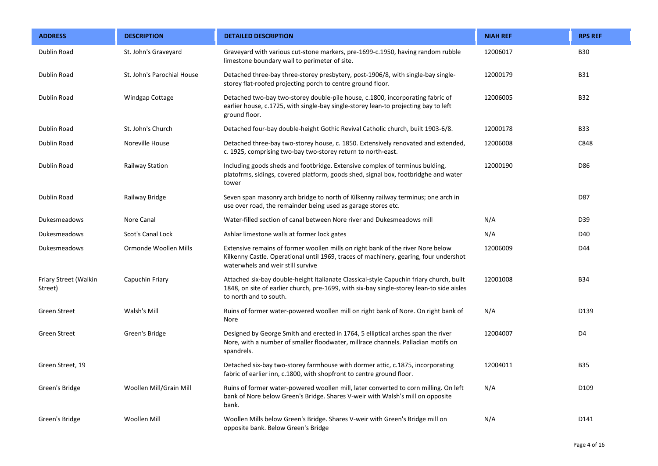| <b>ADDRESS</b>                   | <b>DESCRIPTION</b>         | <b>DETAILED DESCRIPTION</b>                                                                                                                                                                                    | <b>NIAH REF</b> | <b>RPS REF</b>   |
|----------------------------------|----------------------------|----------------------------------------------------------------------------------------------------------------------------------------------------------------------------------------------------------------|-----------------|------------------|
| Dublin Road                      | St. John's Graveyard       | Graveyard with various cut-stone markers, pre-1699-c.1950, having random rubble<br>limestone boundary wall to perimeter of site.                                                                               | 12006017        | <b>B30</b>       |
| Dublin Road                      | St. John's Parochial House | Detached three-bay three-storey presbytery, post-1906/8, with single-bay single-<br>storey flat-roofed projecting porch to centre ground floor.                                                                | 12000179        | <b>B31</b>       |
| Dublin Road                      | Windgap Cottage            | Detached two-bay two-storey double-pile house, c.1800, incorporating fabric of<br>earlier house, c.1725, with single-bay single-storey lean-to projecting bay to left<br>ground floor.                         | 12006005        | <b>B32</b>       |
| Dublin Road                      | St. John's Church          | Detached four-bay double-height Gothic Revival Catholic church, built 1903-6/8.                                                                                                                                | 12000178        | <b>B33</b>       |
| Dublin Road                      | Noreville House            | Detached three-bay two-storey house, c. 1850. Extensively renovated and extended,<br>c. 1925, comprising two-bay two-storey return to north-east.                                                              | 12006008        | C848             |
| <b>Dublin Road</b>               | <b>Railway Station</b>     | Including goods sheds and footbridge. Extensive complex of terminus bulding,<br>platofrms, sidings, covered platform, goods shed, signal box, footbridghe and water<br>tower                                   | 12000190        | D86              |
| Dublin Road                      | Railway Bridge             | Seven span masonry arch bridge to north of Kilkenny railway terminus; one arch in<br>use over road, the remainder being used as garage stores etc.                                                             |                 | D87              |
| Dukesmeadows                     | Nore Canal                 | Water-filled section of canal between Nore river and Dukesmeadows mill                                                                                                                                         | N/A             | D39              |
| <b>Dukesmeadows</b>              | Scot's Canal Lock          | Ashlar limestone walls at former lock gates                                                                                                                                                                    | N/A             | D40              |
| Dukesmeadows                     | Ormonde Woollen Mills      | Extensive remains of former woollen mills on right bank of the river Nore below<br>Kilkenny Castle. Operational until 1969, traces of machinery, gearing, four undershot<br>waterwhels and weir still survive  | 12006009        | D44              |
| Friary Street (Walkin<br>Street) | Capuchin Friary            | Attached six-bay double-height Italianate Classical-style Capuchin friary church, built<br>1848, on site of earlier church, pre-1699, with six-bay single-storey lean-to side aisles<br>to north and to south. | 12001008        | <b>B34</b>       |
| <b>Green Street</b>              | Walsh's Mill               | Ruins of former water-powered woollen mill on right bank of Nore. On right bank of<br>Nore                                                                                                                     | N/A             | D139             |
| <b>Green Street</b>              | Green's Bridge             | Designed by George Smith and erected in 1764, 5 elliptical arches span the river<br>Nore, with a number of smaller floodwater, millrace channels. Palladian motifs on<br>spandrels.                            | 12004007        | D4               |
| Green Street, 19                 |                            | Detached six-bay two-storey farmhouse with dormer attic, c.1875, incorporating<br>fabric of earlier inn, c.1800, with shopfront to centre ground floor.                                                        | 12004011        | <b>B35</b>       |
| Green's Bridge                   | Woollen Mill/Grain Mill    | Ruins of former water-powered woollen mill, later converted to corn milling. On left<br>bank of Nore below Green's Bridge. Shares V-weir with Walsh's mill on opposite<br>bank.                                | N/A             | D <sub>109</sub> |
| Green's Bridge                   | Woollen Mill               | Woollen Mills below Green's Bridge. Shares V-weir with Green's Bridge mill on<br>opposite bank. Below Green's Bridge                                                                                           | N/A             | D141             |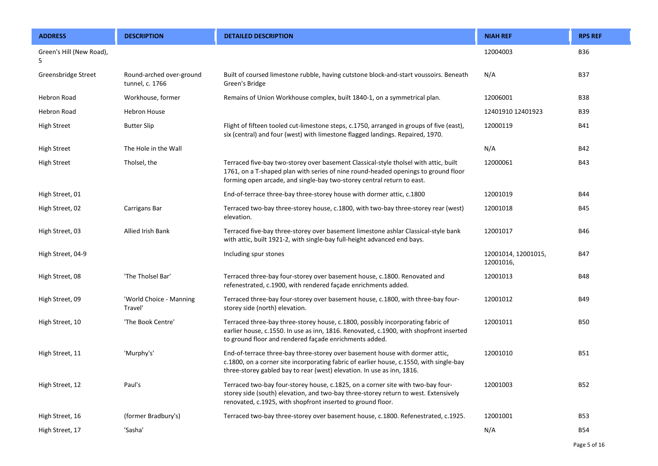| <b>ADDRESS</b>                | <b>DESCRIPTION</b>                          | <b>DETAILED DESCRIPTION</b>                                                                                                                                                                                                                          | <b>NIAH REF</b>                  | <b>RPS REF</b> |
|-------------------------------|---------------------------------------------|------------------------------------------------------------------------------------------------------------------------------------------------------------------------------------------------------------------------------------------------------|----------------------------------|----------------|
| Green's Hill (New Road),<br>5 |                                             |                                                                                                                                                                                                                                                      | 12004003                         | <b>B36</b>     |
| Greensbridge Street           | Round-arched over-ground<br>tunnel, c. 1766 | Built of coursed limestone rubble, having cutstone block-and-start voussoirs. Beneath<br>Green's Bridge                                                                                                                                              | N/A                              | <b>B37</b>     |
| <b>Hebron Road</b>            | Workhouse, former                           | Remains of Union Workhouse complex, built 1840-1, on a symmetrical plan.                                                                                                                                                                             | 12006001                         | <b>B38</b>     |
| <b>Hebron Road</b>            | <b>Hebron House</b>                         |                                                                                                                                                                                                                                                      | 12401910 12401923                | <b>B39</b>     |
| <b>High Street</b>            | <b>Butter Slip</b>                          | Flight of fifteen tooled cut-limestone steps, c.1750, arranged in groups of five (east),<br>six (central) and four (west) with limestone flagged landings. Repaired, 1970.                                                                           | 12000119                         | <b>B41</b>     |
| <b>High Street</b>            | The Hole in the Wall                        |                                                                                                                                                                                                                                                      | N/A                              | <b>B42</b>     |
| <b>High Street</b>            | Tholsel, the                                | Terraced five-bay two-storey over basement Classical-style tholsel with attic, built<br>1761, on a T-shaped plan with series of nine round-headed openings to ground floor<br>forming open arcade, and single-bay two-storey central return to east. | 12000061                         | B43            |
| High Street, 01               |                                             | End-of-terrace three-bay three-storey house with dormer attic, c.1800                                                                                                                                                                                | 12001019                         | B44            |
| High Street, 02               | Carrigans Bar                               | Terraced two-bay three-storey house, c.1800, with two-bay three-storey rear (west)<br>elevation.                                                                                                                                                     | 12001018                         | B45            |
| High Street, 03               | Allied Irish Bank                           | Terraced five-bay three-storey over basement limestone ashlar Classical-style bank<br>with attic, built 1921-2, with single-bay full-height advanced end bays.                                                                                       | 12001017                         | B46            |
| High Street, 04-9             |                                             | Including spur stones                                                                                                                                                                                                                                | 12001014, 12001015,<br>12001016, | <b>B47</b>     |
| High Street, 08               | 'The Tholsel Bar'                           | Terraced three-bay four-storey over basement house, c.1800. Renovated and<br>refenestrated, c.1900, with rendered façade enrichments added.                                                                                                          | 12001013                         | <b>B48</b>     |
| High Street, 09               | 'World Choice - Manning<br>Travel'          | Terraced three-bay four-storey over basement house, c.1800, with three-bay four-<br>storey side (north) elevation.                                                                                                                                   | 12001012                         | <b>B49</b>     |
| High Street, 10               | 'The Book Centre'                           | Terraced three-bay three-storey house, c.1800, possibly incorporating fabric of<br>earlier house, c.1550. In use as inn, 1816. Renovated, c.1900, with shopfront inserted<br>to ground floor and rendered façade enrichments added.                  | 12001011                         | <b>B50</b>     |
| High Street, 11               | 'Murphy's'                                  | End-of-terrace three-bay three-storey over basement house with dormer attic,<br>c.1800, on a corner site incorporating fabric of earlier house, c.1550, with single-bay<br>three-storey gabled bay to rear (west) elevation. In use as inn, 1816.    | 12001010                         | <b>B51</b>     |
| High Street, 12               | Paul's                                      | Terraced two-bay four-storey house, c.1825, on a corner site with two-bay four-<br>storey side (south) elevation, and two-bay three-storey return to west. Extensively<br>renovated, c.1925, with shopfront inserted to ground floor.                | 12001003                         | <b>B52</b>     |
| High Street, 16               | (former Bradbury's)                         | Terraced two-bay three-storey over basement house, c.1800. Refenestrated, c.1925.                                                                                                                                                                    | 12001001                         | <b>B53</b>     |
| High Street, 17               | 'Sasha'                                     |                                                                                                                                                                                                                                                      | N/A                              | <b>B54</b>     |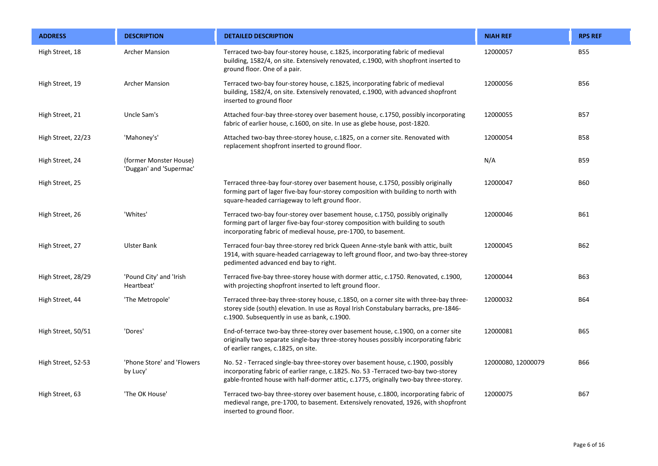| <b>ADDRESS</b>     | <b>DESCRIPTION</b>                                | <b>DETAILED DESCRIPTION</b>                                                                                                                                                                                                                                    | <b>NIAH REF</b>    | <b>RPS REF</b> |
|--------------------|---------------------------------------------------|----------------------------------------------------------------------------------------------------------------------------------------------------------------------------------------------------------------------------------------------------------------|--------------------|----------------|
| High Street, 18    | <b>Archer Mansion</b>                             | Terraced two-bay four-storey house, c.1825, incorporating fabric of medieval<br>building, 1582/4, on site. Extensively renovated, c.1900, with shopfront inserted to<br>ground floor. One of a pair.                                                           | 12000057           | <b>B55</b>     |
| High Street, 19    | <b>Archer Mansion</b>                             | Terraced two-bay four-storey house, c.1825, incorporating fabric of medieval<br>building, 1582/4, on site. Extensively renovated, c.1900, with advanced shopfront<br>inserted to ground floor                                                                  | 12000056           | <b>B56</b>     |
| High Street, 21    | Uncle Sam's                                       | Attached four-bay three-storey over basement house, c.1750, possibly incorporating<br>fabric of earlier house, c.1600, on site. In use as glebe house, post-1820.                                                                                              | 12000055           | <b>B57</b>     |
| High Street, 22/23 | 'Mahoney's'                                       | Attached two-bay three-storey house, c.1825, on a corner site. Renovated with<br>replacement shopfront inserted to ground floor.                                                                                                                               | 12000054           | <b>B58</b>     |
| High Street, 24    | (former Monster House)<br>'Duggan' and 'Supermac' |                                                                                                                                                                                                                                                                | N/A                | <b>B59</b>     |
| High Street, 25    |                                                   | Terraced three-bay four-storey over basement house, c.1750, possibly originally<br>forming part of lager five-bay four-storey composition with building to north with<br>square-headed carriageway to left ground floor.                                       | 12000047           | <b>B60</b>     |
| High Street, 26    | 'Whites'                                          | Terraced two-bay four-storey over basement house, c.1750, possibly originally<br>forming part of larger five-bay four-storey composition with building to south<br>incorporating fabric of medieval house, pre-1700, to basement.                              | 12000046           | <b>B61</b>     |
| High Street, 27    | <b>Ulster Bank</b>                                | Terraced four-bay three-storey red brick Queen Anne-style bank with attic, built<br>1914, with square-headed carriageway to left ground floor, and two-bay three-storey<br>pedimented advanced end bay to right.                                               | 12000045           | B62            |
| High Street, 28/29 | 'Pound City' and 'Irish<br>Heartbeat'             | Terraced five-bay three-storey house with dormer attic, c.1750. Renovated, c.1900,<br>with projecting shopfront inserted to left ground floor.                                                                                                                 | 12000044           | <b>B63</b>     |
| High Street, 44    | 'The Metropole'                                   | Terraced three-bay three-storey house, c.1850, on a corner site with three-bay three-<br>storey side (south) elevation. In use as Royal Irish Constabulary barracks, pre-1846-<br>c.1900. Subsequently in use as bank, c.1900.                                 | 12000032           | <b>B64</b>     |
| High Street, 50/51 | 'Dores'                                           | End-of-terrace two-bay three-storey over basement house, c.1900, on a corner site<br>originally two separate single-bay three-storey houses possibly incorporating fabric<br>of earlier ranges, c.1825, on site.                                               | 12000081           | <b>B65</b>     |
| High Street, 52-53 | 'Phone Store' and 'Flowers<br>by Lucy'            | No. 52 - Terraced single-bay three-storey over basement house, c.1900, possibly<br>incorporating fabric of earlier range, c.1825. No. 53 - Terraced two-bay two-storey<br>gable-fronted house with half-dormer attic, c.1775, originally two-bay three-storey. | 12000080, 12000079 | <b>B66</b>     |
| High Street, 63    | 'The OK House'                                    | Terraced two-bay three-storey over basement house, c.1800, incorporating fabric of<br>medieval range, pre-1700, to basement. Extensively renovated, 1926, with shopfront<br>inserted to ground floor.                                                          | 12000075           | <b>B67</b>     |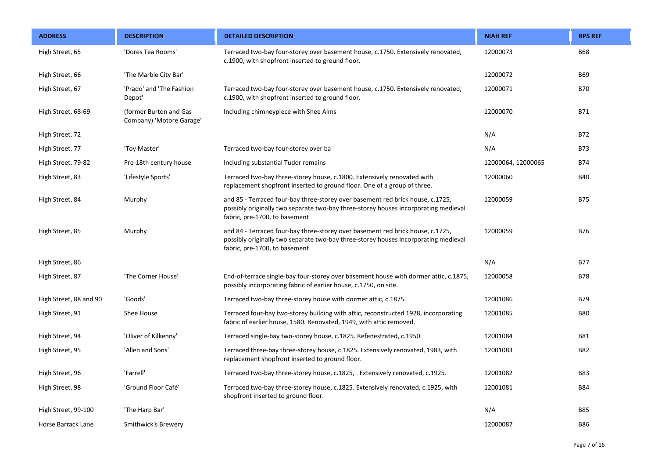| <b>ADDRESS</b>         | <b>DESCRIPTION</b>                                 | <b>DETAILED DESCRIPTION</b>                                                                                                                                                                            | <b>NIAH REF</b>    | <b>RPS REF</b> |
|------------------------|----------------------------------------------------|--------------------------------------------------------------------------------------------------------------------------------------------------------------------------------------------------------|--------------------|----------------|
| High Street, 65        | 'Dores Tea Rooms'                                  | Terraced two-bay four-storey over basement house, c.1750. Extensively renovated,<br>c.1900, with shopfront inserted to ground floor.                                                                   | 12000073           | <b>B68</b>     |
| High Street, 66        | 'The Marble City Bar'                              |                                                                                                                                                                                                        | 12000072           | <b>B69</b>     |
| High Street, 67        | 'Prado' and 'The Fashion<br>Depot'                 | Terraced two-bay four-storey over basement house, c.1750. Extensively renovated,<br>c.1900, with shopfront inserted to ground floor.                                                                   | 12000071           | <b>B70</b>     |
| High Street, 68-69     | (former Burton and Gas<br>Company) 'Motore Garage' | Including chimneypiece with Shee Alms                                                                                                                                                                  | 12000070           | B71            |
| High Street, 72        |                                                    |                                                                                                                                                                                                        | N/A                | B72            |
| High Street, 77        | 'Toy Master'                                       | Terraced two-bay four-storey over ba                                                                                                                                                                   | N/A                | <b>B73</b>     |
| High Street, 79-82     | Pre-18th century house                             | Including substantial Tudor remains                                                                                                                                                                    | 12000064, 12000065 | B74            |
| High Street, 83        | 'Lifestyle Sports'                                 | Terraced two-bay three-storey house, c.1800. Extensively renovated with<br>replacement shopfront inserted to ground floor. One of a group of three.                                                    | 12000060           | <b>B40</b>     |
| High Street, 84        | Murphy                                             | and 85 - Terraced four-bay three-storey over basement red brick house, c.1725,<br>possibly originally two separate two-bay three-storey houses incorporating medieval<br>fabric, pre-1700, to basement | 12000059           | <b>B75</b>     |
| High Street, 85        | Murphy                                             | and 84 - Terraced four-bay three-storey over basement red brick house, c.1725,<br>possibly originally two separate two-bay three-storey houses incorporating medieval<br>fabric, pre-1700, to basement | 12000059           | B76            |
| High Street, 86        |                                                    |                                                                                                                                                                                                        | N/A                | B77            |
| High Street, 87        | 'The Corner House'                                 | End-of-terrace single-bay four-storey over basement house with dormer attic, c.1875,<br>possibly incorporating fabric of earlier house, c.1750, on site.                                               | 12000058           | <b>B78</b>     |
| High Street, 88 and 90 | 'Goods'                                            | Terraced two-bay three-storey house with dormer attic, c.1875.                                                                                                                                         | 12001086           | B79            |
| High Street, 91        | Shee House                                         | Terraced four-bay two-storey building with attic, reconstructed 1928, incorporating<br>fabric of earlier house, 1580. Renovated, 1949, with attic removed.                                             | 12001085           | <b>B80</b>     |
| High Street, 94        | 'Oliver of Kilkenny'                               | Terraced single-bay two-storey house, c.1825. Refenestrated, c.1950.                                                                                                                                   | 12001084           | B81            |
| High Street, 95        | 'Allen and Sons'                                   | Terraced three-bay three-storey house, c.1825. Extensively renovated, 1983, with<br>replacement shopfront inserted to ground floor.                                                                    | 12001083           | <b>B82</b>     |
| High Street, 96        | 'Farrell'                                          | Terraced two-bay three-storey house, c.1825, . Extensively renovated, c.1925.                                                                                                                          | 12001082           | <b>B83</b>     |
| High Street, 98        | 'Ground Floor Café'                                | Terraced two-bay three-storey house, c.1825. Extensively renovated, c.1925, with<br>shopfront inserted to ground floor.                                                                                | 12001081           | <b>B84</b>     |
| High Street, 99-100    | 'The Harp Bar'                                     |                                                                                                                                                                                                        | N/A                | <b>B85</b>     |
| Horse Barrack Lane     | Smithwick's Brewery                                |                                                                                                                                                                                                        | 12000087           | <b>B86</b>     |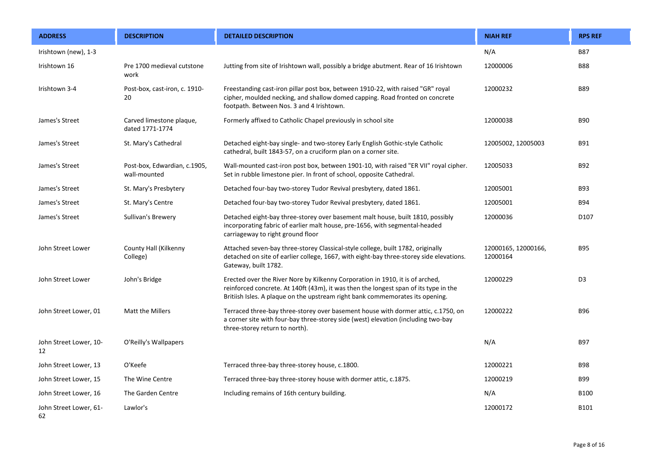| <b>ADDRESS</b>               | <b>DESCRIPTION</b>                           | <b>DETAILED DESCRIPTION</b>                                                                                                                                                                                                                            | <b>NIAH REF</b>                 | <b>RPS REF</b>   |
|------------------------------|----------------------------------------------|--------------------------------------------------------------------------------------------------------------------------------------------------------------------------------------------------------------------------------------------------------|---------------------------------|------------------|
| Irishtown (new), 1-3         |                                              |                                                                                                                                                                                                                                                        | N/A                             | <b>B87</b>       |
| Irishtown 16                 | Pre 1700 medieval cutstone<br>work           | Jutting from site of Irishtown wall, possibly a bridge abutment. Rear of 16 Irishtown                                                                                                                                                                  | 12000006                        | <b>B88</b>       |
| Irishtown 3-4                | Post-box, cast-iron, c. 1910-<br>20          | Freestanding cast-iron pillar post box, between 1910-22, with raised "GR" royal<br>cipher, moulded necking, and shallow domed capping. Road fronted on concrete<br>footpath. Between Nos. 3 and 4 Irishtown.                                           | 12000232                        | <b>B89</b>       |
| James's Street               | Carved limestone plaque,<br>dated 1771-1774  | Formerly affixed to Catholic Chapel previously in school site                                                                                                                                                                                          | 12000038                        | <b>B90</b>       |
| James's Street               | St. Mary's Cathedral                         | Detached eight-bay single- and two-storey Early English Gothic-style Catholic<br>cathedral, built 1843-57, on a cruciform plan on a corner site.                                                                                                       | 12005002, 12005003              | <b>B91</b>       |
| James's Street               | Post-box, Edwardian, c.1905,<br>wall-mounted | Wall-mounted cast-iron post box, between 1901-10, with raised "ER VII" royal cipher.<br>Set in rubble limestone pier. In front of school, opposite Cathedral.                                                                                          | 12005033                        | B92              |
| James's Street               | St. Mary's Presbytery                        | Detached four-bay two-storey Tudor Revival presbytery, dated 1861.                                                                                                                                                                                     | 12005001                        | <b>B93</b>       |
| James's Street               | St. Mary's Centre                            | Detached four-bay two-storey Tudor Revival presbytery, dated 1861.                                                                                                                                                                                     | 12005001                        | <b>B94</b>       |
| James's Street               | Sullivan's Brewery                           | Detached eight-bay three-storey over basement malt house, built 1810, possibly<br>incorporating fabric of earlier malt house, pre-1656, with segmental-headed<br>carriageway to right ground floor                                                     | 12000036                        | D <sub>107</sub> |
| John Street Lower            | County Hall (Kilkenny<br>College)            | Attached seven-bay three-storey Classical-style college, built 1782, originally<br>detached on site of earlier college, 1667, with eight-bay three-storey side elevations.<br>Gateway, built 1782.                                                     | 12000165, 12000166,<br>12000164 | <b>B95</b>       |
| John Street Lower            | John's Bridge                                | Erected over the River Nore by Kilkenny Corporation in 1910, it is of arched,<br>reinforced concrete. At 140ft (43m), it was then the longest span of its type in the<br>Britiish Isles. A plaque on the upstream right bank commemorates its opening. | 12000229                        | D <sub>3</sub>   |
| John Street Lower, 01        | Matt the Millers                             | Terraced three-bay three-storey over basement house with dormer attic, c.1750, on<br>a corner site with four-bay three-storey side (west) elevation (including two-bay<br>three-storey return to north).                                               | 12000222                        | <b>B96</b>       |
| John Street Lower, 10-<br>12 | O'Reilly's Wallpapers                        |                                                                                                                                                                                                                                                        | N/A                             | <b>B97</b>       |
| John Street Lower, 13        | O'Keefe                                      | Terraced three-bay three-storey house, c.1800.                                                                                                                                                                                                         | 12000221                        | <b>B98</b>       |
| John Street Lower, 15        | The Wine Centre                              | Terraced three-bay three-storey house with dormer attic, c.1875.                                                                                                                                                                                       | 12000219                        | <b>B99</b>       |
| John Street Lower, 16        | The Garden Centre                            | Including remains of 16th century building.                                                                                                                                                                                                            | N/A                             | <b>B100</b>      |
| John Street Lower, 61-<br>62 | Lawlor's                                     |                                                                                                                                                                                                                                                        | 12000172                        | B101             |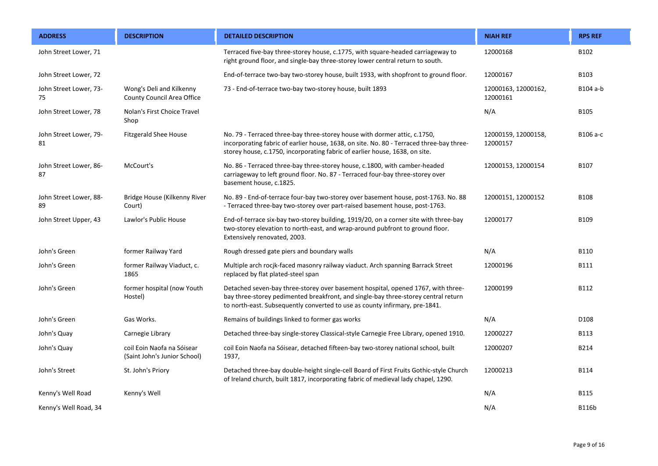| <b>ADDRESS</b>               | <b>DESCRIPTION</b>                                         | <b>DETAILED DESCRIPTION</b>                                                                                                                                                                                                                           | <b>NIAH REF</b>                 | <b>RPS REF</b> |
|------------------------------|------------------------------------------------------------|-------------------------------------------------------------------------------------------------------------------------------------------------------------------------------------------------------------------------------------------------------|---------------------------------|----------------|
| John Street Lower, 71        |                                                            | Terraced five-bay three-storey house, c.1775, with square-headed carriageway to<br>right ground floor, and single-bay three-storey lower central return to south.                                                                                     | 12000168                        | B102           |
| John Street Lower, 72        |                                                            | End-of-terrace two-bay two-storey house, built 1933, with shopfront to ground floor.                                                                                                                                                                  | 12000167                        | B103           |
| John Street Lower, 73-<br>75 | Wong's Deli and Kilkenny<br>County Council Area Office     | 73 - End-of-terrace two-bay two-storey house, built 1893                                                                                                                                                                                              | 12000163, 12000162,<br>12000161 | B104 a-b       |
| John Street Lower, 78        | Nolan's First Choice Travel<br>Shop                        |                                                                                                                                                                                                                                                       | N/A                             | B105           |
| John Street Lower, 79-<br>81 | <b>Fitzgerald Shee House</b>                               | No. 79 - Terraced three-bay three-storey house with dormer attic, c.1750,<br>incorporating fabric of earlier house, 1638, on site. No. 80 - Terraced three-bay three-<br>storey house, c.1750, incorporating fabric of earlier house, 1638, on site.  | 12000159, 12000158,<br>12000157 | B106 a-c       |
| John Street Lower, 86-<br>87 | McCourt's                                                  | No. 86 - Terraced three-bay three-storey house, c.1800, with camber-headed<br>carriageway to left ground floor. No. 87 - Terraced four-bay three-storey over<br>basement house, c.1825.                                                               | 12000153, 12000154              | B107           |
| John Street Lower, 88-<br>89 | Bridge House (Kilkenny River<br>Court)                     | No. 89 - End-of-terrace four-bay two-storey over basement house, post-1763. No. 88<br>- Terraced three-bay two-storey over part-raised basement house, post-1763.                                                                                     | 12000151, 12000152              | <b>B108</b>    |
| John Street Upper, 43        | Lawlor's Public House                                      | End-of-terrace six-bay two-storey building, 1919/20, on a corner site with three-bay<br>two-storey elevation to north-east, and wrap-around pubfront to ground floor.<br>Extensively renovated, 2003.                                                 | 12000177                        | B109           |
| John's Green                 | former Railway Yard                                        | Rough dressed gate piers and boundary walls                                                                                                                                                                                                           | N/A                             | B110           |
| John's Green                 | former Railway Viaduct, c.<br>1865                         | Multiple arch rocjk-faced masonry railway viaduct. Arch spanning Barrack Street<br>replaced by flat plated-steel span                                                                                                                                 | 12000196                        | <b>B111</b>    |
| John's Green                 | former hospital (now Youth<br>Hostel)                      | Detached seven-bay three-storey over basement hospital, opened 1767, with three-<br>bay three-storey pedimented breakfront, and single-bay three-storey central return<br>to north-east. Subsequently converted to use as county infirmary, pre-1841. | 12000199                        | B112           |
| John's Green                 | Gas Works.                                                 | Remains of buildings linked to former gas works                                                                                                                                                                                                       | N/A                             | D108           |
| John's Quay                  | Carnegie Library                                           | Detached three-bay single-storey Classical-style Carnegie Free Library, opened 1910.                                                                                                                                                                  | 12000227                        | B113           |
| John's Quay                  | coil Eoin Naofa na Sóisear<br>(Saint John's Junior School) | coil Eoin Naofa na Sóisear, detached fifteen-bay two-storey national school, built<br>1937,                                                                                                                                                           | 12000207                        | B214           |
| John's Street                | St. John's Priory                                          | Detached three-bay double-height single-cell Board of First Fruits Gothic-style Church<br>of Ireland church, built 1817, incorporating fabric of medieval lady chapel, 1290.                                                                          | 12000213                        | <b>B114</b>    |
| Kenny's Well Road            | Kenny's Well                                               |                                                                                                                                                                                                                                                       | N/A                             | <b>B115</b>    |
| Kenny's Well Road, 34        |                                                            |                                                                                                                                                                                                                                                       | N/A                             | <b>B116b</b>   |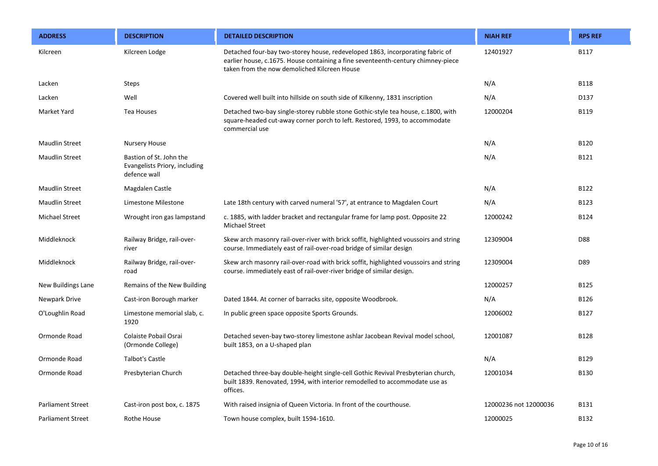| <b>ADDRESS</b>           | <b>DESCRIPTION</b>                                                       | <b>DETAILED DESCRIPTION</b>                                                                                                                                                                                       | <b>NIAH REF</b>       | <b>RPS REF</b> |
|--------------------------|--------------------------------------------------------------------------|-------------------------------------------------------------------------------------------------------------------------------------------------------------------------------------------------------------------|-----------------------|----------------|
| Kilcreen                 | Kilcreen Lodge                                                           | Detached four-bay two-storey house, redeveloped 1863, incorporating fabric of<br>earlier house, c.1675. House containing a fine seventeenth-century chimney-piece<br>taken from the now demoliched Kilcreen House | 12401927              | <b>B117</b>    |
| Lacken                   | <b>Steps</b>                                                             |                                                                                                                                                                                                                   | N/A                   | <b>B118</b>    |
| Lacken                   | Well                                                                     | Covered well built into hillside on south side of Kilkenny, 1831 inscription                                                                                                                                      | N/A                   | D137           |
| Market Yard              | Tea Houses                                                               | Detached two-bay single-storey rubble stone Gothic-style tea house, c.1800, with<br>square-headed cut-away corner porch to left. Restored, 1993, to accommodate<br>commercial use                                 | 12000204              | <b>B119</b>    |
| <b>Maudlin Street</b>    | <b>Nursery House</b>                                                     |                                                                                                                                                                                                                   | N/A                   | <b>B120</b>    |
| <b>Maudlin Street</b>    | Bastion of St. John the<br>Evangelists Priory, including<br>defence wall |                                                                                                                                                                                                                   | N/A                   | B121           |
| <b>Maudlin Street</b>    | Magdalen Castle                                                          |                                                                                                                                                                                                                   | N/A                   | B122           |
| <b>Maudlin Street</b>    | Limestone Milestone                                                      | Late 18th century with carved numeral '57', at entrance to Magdalen Court                                                                                                                                         | N/A                   | B123           |
| <b>Michael Street</b>    | Wrought iron gas lampstand                                               | c. 1885, with ladder bracket and rectangular frame for lamp post. Opposite 22<br>Michael Street                                                                                                                   | 12000242              | <b>B124</b>    |
| Middleknock              | Railway Bridge, rail-over-<br>river                                      | Skew arch masonry rail-over-river with brick soffit, highlighted voussoirs and string<br>course. Immediately east of rail-over-road bridge of similar design                                                      | 12309004              | D88            |
| Middleknock              | Railway Bridge, rail-over-<br>road                                       | Skew arch masonry rail-over-road with brick soffit, highlighted voussoirs and string<br>course. immediately east of rail-over-river bridge of similar design.                                                     | 12309004              | D89            |
| New Buildings Lane       | Remains of the New Building                                              |                                                                                                                                                                                                                   | 12000257              | <b>B125</b>    |
| Newpark Drive            | Cast-iron Borough marker                                                 | Dated 1844. At corner of barracks site, opposite Woodbrook.                                                                                                                                                       | N/A                   | <b>B126</b>    |
| O'Loughlin Road          | Limestone memorial slab, c.<br>1920                                      | In public green space opposite Sports Grounds.                                                                                                                                                                    | 12006002              | B127           |
| Ormonde Road             | Colaiste Pobail Osrai<br>(Ormonde College)                               | Detached seven-bay two-storey limestone ashlar Jacobean Revival model school,<br>built 1853, on a U-shaped plan                                                                                                   | 12001087              | <b>B128</b>    |
| Ormonde Road             | <b>Talbot's Castle</b>                                                   |                                                                                                                                                                                                                   | N/A                   | B129           |
| Ormonde Road             | Presbyterian Church                                                      | Detached three-bay double-height single-cell Gothic Revival Presbyterian church,<br>built 1839. Renovated, 1994, with interior remodelled to accommodate use as<br>offices.                                       | 12001034              | <b>B130</b>    |
| <b>Parliament Street</b> | Cast-iron post box, c. 1875                                              | With raised insignia of Queen Victoria. In front of the courthouse.                                                                                                                                               | 12000236 not 12000036 | <b>B131</b>    |
| <b>Parliament Street</b> | Rothe House                                                              | Town house complex, built 1594-1610.                                                                                                                                                                              | 12000025              | B132           |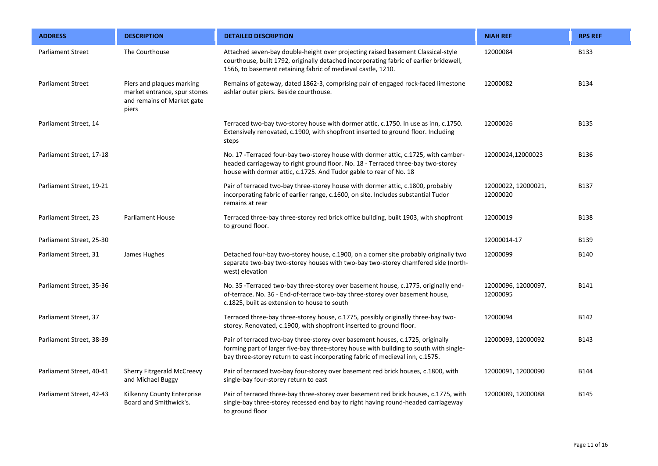| <b>ADDRESS</b>           | <b>DESCRIPTION</b>                                                                               | <b>DETAILED DESCRIPTION</b>                                                                                                                                                                                                                               | <b>NIAH REF</b>                 | <b>RPS REF</b> |
|--------------------------|--------------------------------------------------------------------------------------------------|-----------------------------------------------------------------------------------------------------------------------------------------------------------------------------------------------------------------------------------------------------------|---------------------------------|----------------|
| <b>Parliament Street</b> | The Courthouse                                                                                   | Attached seven-bay double-height over projecting raised basement Classical-style<br>courthouse, built 1792, originally detached incorporating fabric of earlier bridewell,<br>1566, to basement retaining fabric of medieval castle, 1210.                | 12000084                        | <b>B133</b>    |
| <b>Parliament Street</b> | Piers and plaques marking<br>market entrance, spur stones<br>and remains of Market gate<br>piers | Remains of gateway, dated 1862-3, comprising pair of engaged rock-faced limestone<br>ashlar outer piers. Beside courthouse.                                                                                                                               | 12000082                        | <b>B134</b>    |
| Parliament Street, 14    |                                                                                                  | Terraced two-bay two-storey house with dormer attic, c.1750. In use as inn, c.1750.<br>Extensively renovated, c.1900, with shopfront inserted to ground floor. Including<br>steps                                                                         | 12000026                        | <b>B135</b>    |
| Parliament Street, 17-18 |                                                                                                  | No. 17 - Terraced four-bay two-storey house with dormer attic, c.1725, with camber-<br>headed carriageway to right ground floor. No. 18 - Terraced three-bay two-storey<br>house with dormer attic, c.1725. And Tudor gable to rear of No. 18             | 12000024,12000023               | <b>B136</b>    |
| Parliament Street, 19-21 |                                                                                                  | Pair of terraced two-bay three-storey house with dormer attic, c.1800, probably<br>incorporating fabric of earlier range, c.1600, on site. Includes substantial Tudor<br>remains at rear                                                                  | 12000022, 12000021,<br>12000020 | <b>B137</b>    |
| Parliament Street, 23    | <b>Parliament House</b>                                                                          | Terraced three-bay three-storey red brick office building, built 1903, with shopfront<br>to ground floor.                                                                                                                                                 | 12000019                        | <b>B138</b>    |
| Parliament Street, 25-30 |                                                                                                  |                                                                                                                                                                                                                                                           | 12000014-17                     | B139           |
| Parliament Street, 31    | James Hughes                                                                                     | Detached four-bay two-storey house, c.1900, on a corner site probably originally two<br>separate two-bay two-storey houses with two-bay two-storey chamfered side (north-<br>west) elevation                                                              | 12000099                        | <b>B140</b>    |
| Parliament Street, 35-36 |                                                                                                  | No. 35 - Terraced two-bay three-storey over basement house, c.1775, originally end-<br>of-terrace. No. 36 - End-of-terrace two-bay three-storey over basement house,<br>c.1825, built as extension to house to south                                      | 12000096, 12000097,<br>12000095 | B141           |
| Parliament Street, 37    |                                                                                                  | Terraced three-bay three-storey house, c.1775, possibly originally three-bay two-<br>storey. Renovated, c.1900, with shopfront inserted to ground floor.                                                                                                  | 12000094                        | B142           |
| Parliament Street, 38-39 |                                                                                                  | Pair of terraced two-bay three-storey over basement houses, c.1725, originally<br>forming part of larger five-bay three-storey house with building to south with single-<br>bay three-storey return to east incorporating fabric of medieval inn, c.1575. | 12000093, 12000092              | B143           |
| Parliament Street, 40-41 | Sherry Fitzgerald McCreevy<br>and Michael Buggy                                                  | Pair of terraced two-bay four-storey over basement red brick houses, c.1800, with<br>single-bay four-storey return to east                                                                                                                                | 12000091, 12000090              | <b>B144</b>    |
| Parliament Street, 42-43 | Kilkenny County Enterprise<br>Board and Smithwick's.                                             | Pair of terraced three-bay three-storey over basement red brick houses, c.1775, with<br>single-bay three-storey recessed end bay to right having round-headed carriageway<br>to ground floor                                                              | 12000089, 12000088              | <b>B145</b>    |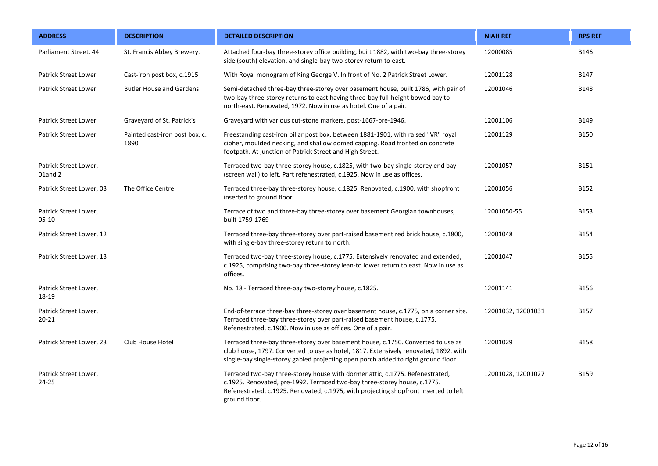| <b>ADDRESS</b>                     | <b>DESCRIPTION</b>                     | <b>DETAILED DESCRIPTION</b>                                                                                                                                                                                                                                         | <b>NIAH REF</b>    | <b>RPS REF</b> |
|------------------------------------|----------------------------------------|---------------------------------------------------------------------------------------------------------------------------------------------------------------------------------------------------------------------------------------------------------------------|--------------------|----------------|
| Parliament Street, 44              | St. Francis Abbey Brewery.             | Attached four-bay three-storey office building, built 1882, with two-bay three-storey<br>side (south) elevation, and single-bay two-storey return to east.                                                                                                          | 12000085           | B146           |
| <b>Patrick Street Lower</b>        | Cast-iron post box, c.1915             | With Royal monogram of King George V. In front of No. 2 Patrick Street Lower.                                                                                                                                                                                       | 12001128           | B147           |
| <b>Patrick Street Lower</b>        | <b>Butler House and Gardens</b>        | Semi-detached three-bay three-storey over basement house, built 1786, with pair of<br>two-bay three-storey returns to east having three-bay full-height bowed bay to<br>north-east. Renovated, 1972. Now in use as hotel. One of a pair.                            | 12001046           | <b>B148</b>    |
| <b>Patrick Street Lower</b>        | Graveyard of St. Patrick's             | Graveyard with various cut-stone markers, post-1667-pre-1946.                                                                                                                                                                                                       | 12001106           | B149           |
| Patrick Street Lower               | Painted cast-iron post box, c.<br>1890 | Freestanding cast-iron pillar post box, between 1881-1901, with raised "VR" royal<br>cipher, moulded necking, and shallow domed capping. Road fronted on concrete<br>footpath. At junction of Patrick Street and High Street.                                       | 12001129           | <b>B150</b>    |
| Patrick Street Lower,<br>01and 2   |                                        | Terraced two-bay three-storey house, c.1825, with two-bay single-storey end bay<br>(screen wall) to left. Part refenestrated, c.1925. Now in use as offices.                                                                                                        | 12001057           | <b>B151</b>    |
| Patrick Street Lower, 03           | The Office Centre                      | Terraced three-bay three-storey house, c.1825. Renovated, c.1900, with shopfront<br>inserted to ground floor                                                                                                                                                        | 12001056           | B152           |
| Patrick Street Lower,<br>$05 - 10$ |                                        | Terrace of two and three-bay three-storey over basement Georgian townhouses,<br>built 1759-1769                                                                                                                                                                     | 12001050-55        | B153           |
| Patrick Street Lower, 12           |                                        | Terraced three-bay three-storey over part-raised basement red brick house, c.1800,<br>with single-bay three-storey return to north.                                                                                                                                 | 12001048           | <b>B154</b>    |
| Patrick Street Lower, 13           |                                        | Terraced two-bay three-storey house, c.1775. Extensively renovated and extended,<br>c.1925, comprising two-bay three-storey lean-to lower return to east. Now in use as<br>offices.                                                                                 | 12001047           | <b>B155</b>    |
| Patrick Street Lower,<br>18-19     |                                        | No. 18 - Terraced three-bay two-storey house, c.1825.                                                                                                                                                                                                               | 12001141           | B156           |
| Patrick Street Lower,<br>$20 - 21$ |                                        | End-of-terrace three-bay three-storey over basement house, c.1775, on a corner site.<br>Terraced three-bay three-storey over part-raised basement house, c.1775.<br>Refenestrated, c.1900. Now in use as offices. One of a pair.                                    | 12001032, 12001031 | B157           |
| Patrick Street Lower, 23           | Club House Hotel                       | Terraced three-bay three-storey over basement house, c.1750. Converted to use as<br>club house, 1797. Converted to use as hotel, 1817. Extensively renovated, 1892, with<br>single-bay single-storey gabled projecting open porch added to right ground floor.      | 12001029           | <b>B158</b>    |
| Patrick Street Lower,<br>$24 - 25$ |                                        | Terraced two-bay three-storey house with dormer attic, c.1775. Refenestrated,<br>c.1925. Renovated, pre-1992. Terraced two-bay three-storey house, c.1775.<br>Refenestrated, c.1925. Renovated, c.1975, with projecting shopfront inserted to left<br>ground floor. | 12001028, 12001027 | B159           |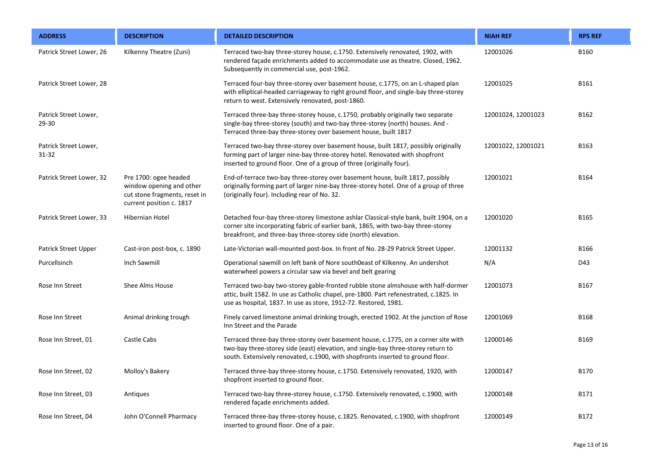| <b>ADDRESS</b>                 | <b>DESCRIPTION</b>                                                                                             | <b>DETAILED DESCRIPTION</b>                                                                                                                                                                                                                                | <b>NIAH REF</b>    | <b>RPS REF</b> |
|--------------------------------|----------------------------------------------------------------------------------------------------------------|------------------------------------------------------------------------------------------------------------------------------------------------------------------------------------------------------------------------------------------------------------|--------------------|----------------|
| Patrick Street Lower, 26       | Kilkenny Theatre (Zuni)                                                                                        | Terraced two-bay three-storey house, c.1750. Extensively renovated, 1902, with<br>rendered façade enrichments added to accommodate use as theatre. Closed, 1962.<br>Subsequently in commercial use, post-1962.                                             | 12001026           | <b>B160</b>    |
| Patrick Street Lower, 28       |                                                                                                                | Terraced four-bay three-storey over basement house, c.1775, on an L-shaped plan<br>with elliptical-headed carriageway to right ground floor, and single-bay three-storey<br>return to west. Extensively renovated, post-1860.                              | 12001025           | B161           |
| Patrick Street Lower,<br>29-30 |                                                                                                                | Terraced three-bay three-storey house, c.1750, probably originally two separate<br>single-bay three-storey (south) and two-bay three-storey (north) houses. And -<br>Terraced three-bay three-storey over basement house, built 1817                       | 12001024, 12001023 | B162           |
| Patrick Street Lower,<br>31-32 |                                                                                                                | Terraced two-bay three-storey over basement house, built 1817, possibly originally<br>forming part of larger nine-bay three-storey hotel. Renovated with shopfront<br>inserted to ground floor. One of a group of three (originally four).                 | 12001022, 12001021 | B163           |
| Patrick Street Lower, 32       | Pre 1700: ogee headed<br>window opening and other<br>cut stone fragments, reset in<br>current position c. 1817 | End-of-terrace two-bay three-storey over basement house, built 1817, possibly<br>originally forming part of larger nine-bay three-storey hotel. One of a group of three<br>(originally four). Including rear of No. 32.                                    | 12001021           | B164           |
| Patrick Street Lower, 33       | Hibernian Hotel                                                                                                | Detached four-bay three-storey limestone ashlar Classical-style bank, built 1904, on a<br>corner site incorporating fabric of earlier bank, 1865, with two-bay three-storey<br>breakfront, and three-bay three-storey side (north) elevation.              | 12001020           | B165           |
| Patrick Street Upper           | Cast-iron post-box, c. 1890                                                                                    | Late-Victorian wall-mounted post-box. In front of No. 28-29 Patrick Street Upper.                                                                                                                                                                          | 12001132           | <b>B166</b>    |
| Purcellsinch                   | Inch Sawmill                                                                                                   | Operational sawmill on left bank of Nore south0east of Kilkenny. An undershot<br>waterwheel powers a circular saw via bevel and belt gearing                                                                                                               | N/A                | D43            |
| Rose Inn Street                | Shee Alms House                                                                                                | Terraced two-bay two-storey gable-fronted rubble stone almshouse with half-dormer<br>attic, built 1582. In use as Catholic chapel, pre-1800. Part refenestrated, c.1825. In<br>use as hospital, 1837. In use as store, 1912-72. Restored, 1981.            | 12001073           | B167           |
| Rose Inn Street                | Animal drinking trough                                                                                         | Finely carved limestone animal drinking trough, erected 1902. At the junction of Rose<br>Inn Street and the Parade                                                                                                                                         | 12001069           | <b>B168</b>    |
| Rose Inn Street, 01            | Castle Cabs                                                                                                    | Terraced three-bay three-storey over basement house, c.1775, on a corner site with<br>two-bay three-storey side (east) elevation, and single-bay three-storey return to<br>south. Extensively renovated, c.1900, with shopfronts inserted to ground floor. | 12000146           | B169           |
| Rose Inn Street, 02            | Molloy's Bakery                                                                                                | Terraced three-bay three-storey house, c.1750. Extensively renovated, 1920, with<br>shopfront inserted to ground floor.                                                                                                                                    | 12000147           | B170           |
| Rose Inn Street, 03            | Antiques                                                                                                       | Terraced two-bay three-storey house, c.1750. Extensively renovated, c.1900, with<br>rendered façade enrichments added.                                                                                                                                     | 12000148           | B171           |
| Rose Inn Street, 04            | John O'Connell Pharmacy                                                                                        | Terraced three-bay three-storey house, c.1825. Renovated, c.1900, with shopfront<br>inserted to ground floor. One of a pair.                                                                                                                               | 12000149           | B172           |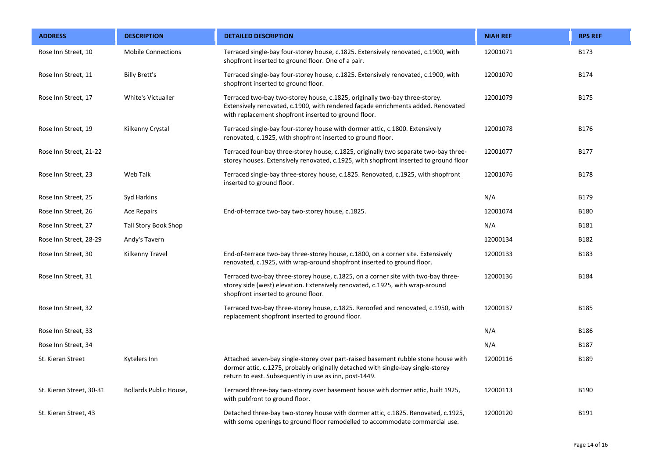| <b>ADDRESS</b>           | <b>DESCRIPTION</b>          | <b>DETAILED DESCRIPTION</b>                                                                                                                                                                                                      | <b>NIAH REF</b> | <b>RPS REF</b> |
|--------------------------|-----------------------------|----------------------------------------------------------------------------------------------------------------------------------------------------------------------------------------------------------------------------------|-----------------|----------------|
| Rose Inn Street, 10      | <b>Mobile Connections</b>   | Terraced single-bay four-storey house, c.1825. Extensively renovated, c.1900, with<br>shopfront inserted to ground floor. One of a pair.                                                                                         | 12001071        | B173           |
| Rose Inn Street, 11      | <b>Billy Brett's</b>        | Terraced single-bay four-storey house, c.1825. Extensively renovated, c.1900, with<br>shopfront inserted to ground floor.                                                                                                        | 12001070        | <b>B174</b>    |
| Rose Inn Street, 17      | White's Victualler          | Terraced two-bay two-storey house, c.1825, originally two-bay three-storey.<br>Extensively renovated, c.1900, with rendered façade enrichments added. Renovated<br>with replacement shopfront inserted to ground floor.          | 12001079        | <b>B175</b>    |
| Rose Inn Street, 19      | Kilkenny Crystal            | Terraced single-bay four-storey house with dormer attic, c.1800. Extensively<br>renovated, c.1925, with shopfront inserted to ground floor.                                                                                      | 12001078        | B176           |
| Rose Inn Street, 21-22   |                             | Terraced four-bay three-storey house, c.1825, originally two separate two-bay three-<br>storey houses. Extensively renovated, c.1925, with shopfront inserted to ground floor                                                    | 12001077        | B177           |
| Rose Inn Street, 23      | Web Talk                    | Terraced single-bay three-storey house, c.1825. Renovated, c.1925, with shopfront<br>inserted to ground floor.                                                                                                                   | 12001076        | <b>B178</b>    |
| Rose Inn Street, 25      | Syd Harkins                 |                                                                                                                                                                                                                                  | N/A             | B179           |
| Rose Inn Street, 26      | <b>Ace Repairs</b>          | End-of-terrace two-bay two-storey house, c.1825.                                                                                                                                                                                 | 12001074        | <b>B180</b>    |
| Rose Inn Street, 27      | <b>Tall Story Book Shop</b> |                                                                                                                                                                                                                                  | N/A             | B181           |
| Rose Inn Street, 28-29   | Andy's Tavern               |                                                                                                                                                                                                                                  | 12000134        | B182           |
| Rose Inn Street, 30      | Kilkenny Travel             | End-of-terrace two-bay three-storey house, c.1800, on a corner site. Extensively<br>renovated, c.1925, with wrap-around shopfront inserted to ground floor.                                                                      | 12000133        | B183           |
| Rose Inn Street, 31      |                             | Terraced two-bay three-storey house, c.1825, on a corner site with two-bay three-<br>storey side (west) elevation. Extensively renovated, c.1925, with wrap-around<br>shopfront inserted to ground floor.                        | 12000136        | <b>B184</b>    |
| Rose Inn Street, 32      |                             | Terraced two-bay three-storey house, c.1825. Reroofed and renovated, c.1950, with<br>replacement shopfront inserted to ground floor.                                                                                             | 12000137        | B185           |
| Rose Inn Street, 33      |                             |                                                                                                                                                                                                                                  | N/A             | B186           |
| Rose Inn Street, 34      |                             |                                                                                                                                                                                                                                  | N/A             | <b>B187</b>    |
| St. Kieran Street        | Kytelers Inn                | Attached seven-bay single-storey over part-raised basement rubble stone house with<br>dormer attic, c.1275, probably originally detached with single-bay single-storey<br>return to east. Subsequently in use as inn, post-1449. | 12000116        | B189           |
| St. Kieran Street, 30-31 | Bollards Public House,      | Terraced three-bay two-storey over basement house with dormer attic, built 1925,<br>with pubfront to ground floor.                                                                                                               | 12000113        | B190           |
| St. Kieran Street, 43    |                             | Detached three-bay two-storey house with dormer attic, c.1825. Renovated, c.1925,<br>with some openings to ground floor remodelled to accommodate commercial use.                                                                | 12000120        | B191           |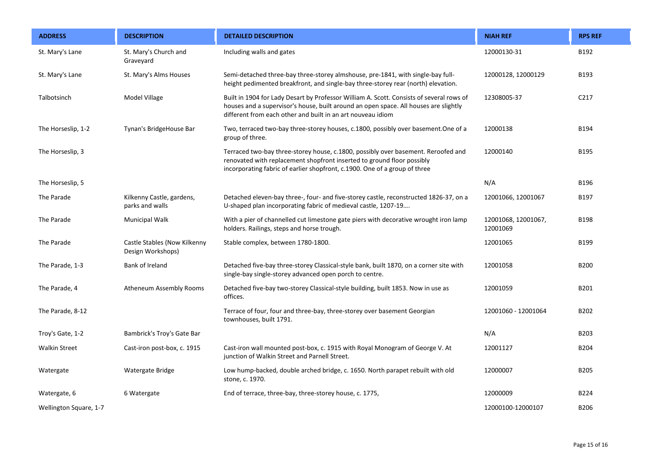| <b>ADDRESS</b>         | <b>DESCRIPTION</b>                                | <b>DETAILED DESCRIPTION</b>                                                                                                                                                                                                                     | <b>NIAH REF</b>                 | <b>RPS REF</b> |
|------------------------|---------------------------------------------------|-------------------------------------------------------------------------------------------------------------------------------------------------------------------------------------------------------------------------------------------------|---------------------------------|----------------|
| St. Mary's Lane        | St. Mary's Church and<br>Graveyard                | Including walls and gates                                                                                                                                                                                                                       | 12000130-31                     | B192           |
| St. Mary's Lane        | St. Mary's Alms Houses                            | Semi-detached three-bay three-storey almshouse, pre-1841, with single-bay full-<br>height pedimented breakfront, and single-bay three-storey rear (north) elevation.                                                                            | 12000128, 12000129              | B193           |
| Talbotsinch            | Model Village                                     | Built in 1904 for Lady Desart by Professor William A. Scott. Consists of several rows of<br>houses and a supervisor's house, built around an open space. All houses are slightly<br>different from each other and built in an art nouveau idiom | 12308005-37                     | C217           |
| The Horseslip, 1-2     | Tynan's BridgeHouse Bar                           | Two, terraced two-bay three-storey houses, c.1800, possibly over basement. One of a<br>group of three.                                                                                                                                          | 12000138                        | <b>B194</b>    |
| The Horseslip, 3       |                                                   | Terraced two-bay three-storey house, c.1800, possibly over basement. Reroofed and<br>renovated with replacement shopfront inserted to ground floor possibly<br>incorporating fabric of earlier shopfront, c.1900. One of a group of three       | 12000140                        | <b>B195</b>    |
| The Horseslip, 5       |                                                   |                                                                                                                                                                                                                                                 | N/A                             | B196           |
| The Parade             | Kilkenny Castle, gardens,<br>parks and walls      | Detached eleven-bay three-, four- and five-storey castle, reconstructed 1826-37, on a<br>U-shaped plan incorporating fabric of medieval castle, 1207-19                                                                                         | 12001066, 12001067              | B197           |
| The Parade             | Municipal Walk                                    | With a pier of channelled cut limestone gate piers with decorative wrought iron lamp<br>holders. Railings, steps and horse trough.                                                                                                              | 12001068, 12001067,<br>12001069 | <b>B198</b>    |
| The Parade             | Castle Stables (Now Kilkenny<br>Design Workshops) | Stable complex, between 1780-1800.                                                                                                                                                                                                              | 12001065                        | B199           |
| The Parade, 1-3        | Bank of Ireland                                   | Detached five-bay three-storey Classical-style bank, built 1870, on a corner site with<br>single-bay single-storey advanced open porch to centre.                                                                                               | 12001058                        | <b>B200</b>    |
| The Parade, 4          | Atheneum Assembly Rooms                           | Detached five-bay two-storey Classical-style building, built 1853. Now in use as<br>offices.                                                                                                                                                    | 12001059                        | B201           |
| The Parade, 8-12       |                                                   | Terrace of four, four and three-bay, three-storey over basement Georgian<br>townhouses, built 1791.                                                                                                                                             | 12001060 - 12001064             | B202           |
| Troy's Gate, 1-2       | Bambrick's Troy's Gate Bar                        |                                                                                                                                                                                                                                                 | N/A                             | B203           |
| <b>Walkin Street</b>   | Cast-iron post-box, c. 1915                       | Cast-iron wall mounted post-box, c. 1915 with Royal Monogram of George V. At<br>junction of Walkin Street and Parnell Street.                                                                                                                   | 12001127                        | <b>B204</b>    |
| Watergate              | Watergate Bridge                                  | Low hump-backed, double arched bridge, c. 1650. North parapet rebuilt with old<br>stone, c. 1970.                                                                                                                                               | 12000007                        | <b>B205</b>    |
| Watergate, 6           | 6 Watergate                                       | End of terrace, three-bay, three-storey house, c. 1775,                                                                                                                                                                                         | 12000009                        | B224           |
| Wellington Square, 1-7 |                                                   |                                                                                                                                                                                                                                                 | 12000100-12000107               | <b>B206</b>    |